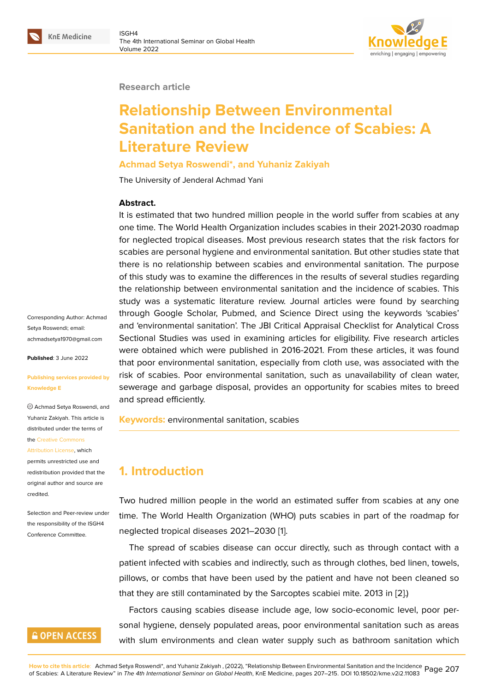

**Research article**

# **Relationship Between Environmental Sanitation and the Incidence of Scabies: A Literature Review**

#### **Achmad Setya Roswendi\*, and Yuhaniz Zakiyah**

The University of Jenderal Achmad Yani

#### **Abstract.**

It is estimated that two hundred million people in the world suffer from scabies at any one time. The World Health Organization includes scabies in their 2021-2030 roadmap for neglected tropical diseases. Most previous research states that the risk factors for scabies are personal hygiene and environmental sanitation. But other studies state that there is no relationship between scabies and environmental sanitation. The purpose of this study was to examine the differences in the results of several studies regarding the relationship between environmental sanitation and the incidence of scabies. This study was a systematic literature review. Journal articles were found by searching through Google Scholar, Pubmed, and Science Direct using the keywords 'scabies' and 'environmental sanitation'. The JBI Critical Appraisal Checklist for Analytical Cross Sectional Studies was used in examining articles for eligibility. Five research articles were obtained which were published in 2016-2021. From these articles, it was found that poor environmental sanitation, especially from cloth use, was associated with the risk of scabies. Poor environmental sanitation, such as unavailability of clean water, sewerage and garbage disposal, provides an opportunity for scabies mites to breed and spread efficiently.

**Keywords:** environmental sanitation, scabies

# **1. Introduction**

Two hudred million people in the world an estimated suffer from scabies at any one time. The World Health Organization (WHO) puts scabies in part of the roadmap for neglected tropical diseases 2021–2030 [1].

The spread of scabies disease can occur directly, such as through contact with a patient infected with scabies and indirectly, such as through clothes, bed linen, towels, pillows, or combs that have been used [by](#page-7-0) the patient and have not been cleaned so that they are still contaminated by the Sarcoptes scabiei mite. 2013 in [2].)

Factors causing scabies disease include age, low socio-economic level, poor personal hygiene, densely populated areas, poor environmental sanitation such as areas with slum environments and clean water supply such as bathroom [sa](#page-7-1)nitation which

Corresponding Author: Achmad Setya Roswendi; email: achmadsetya1970@gmail.com

**Published**: 3 June 2022

#### **[Publishing services provided](mailto:achmadsetya1970@gmail.com) by Knowledge E**

Achmad Setya Roswendi, and Yuhaniz Zakiyah. This article is distributed under the terms of the Creative Commons

Attribution License, which permits unrestricted use and redistribution provided that the orig[inal author and sou](https://creativecommons.org/licenses/by/4.0/)rce are [credited.](https://creativecommons.org/licenses/by/4.0/)

Selection and Peer-review under the responsibility of the ISGH4 Conference Committee.

## **GOPEN ACCESS**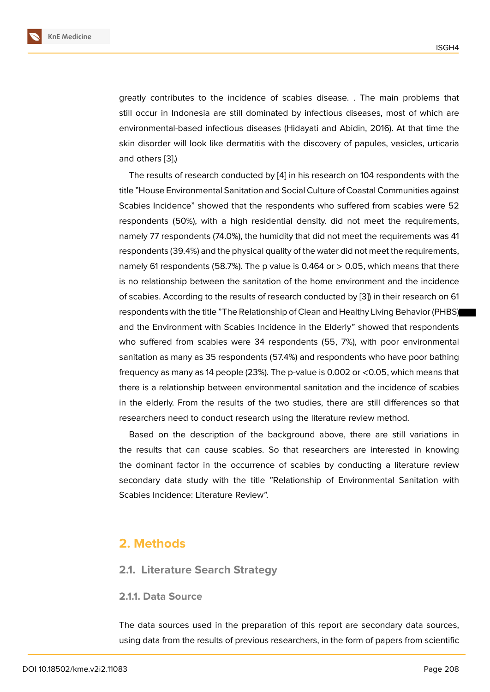greatly contributes to the incidence of scabies disease. . The main problems that still occur in Indonesia are still dominated by infectious diseases, most of which are environmental-based infectious diseases (Hidayati and Abidin, 2016). At that time the skin disorder will look like dermatitis with the discovery of papules, vesicles, urticaria and others [3].)

The results of research conducted by [4] in his research on 104 respondents with the title "House Environmental Sanitation and Social Culture of Coastal Communities against Scabies Inc[id](#page-7-2)ence" showed that the respondents who suffered from scabies were 52 respondents (50%), with a high reside[nti](#page-8-0)al density. did not meet the requirements, namely 77 respondents (74.0%), the humidity that did not meet the requirements was 41 respondents (39.4%) and the physical quality of the water did not meet the requirements, namely 61 respondents (58.7%). The p value is 0.464 or  $>$  0.05, which means that there is no relationship between the sanitation of the home environment and the incidence of scabies. According to the results of research conducted by [3]) in their research on 61 respondents with the title "The Relationship of Clean and Healthy Living Behavior (PHBS) and the Environment with Scabies Incidence in the Elderly" showed that respondents who suffered from scabies were 34 respondents (55, 7%), [w](#page-7-2)ith poor environmental sanitation as many as 35 respondents (57.4%) and respondents who have poor bathing frequency as many as 14 people (23%). The p-value is 0.002 or <0.05, which means that there is a relationship between environmental sanitation and the incidence of scabies in the elderly. From the results of the two studies, there are still differences so that researchers need to conduct research using the literature review method.

Based on the description of the background above, there are still variations in the results that can cause scabies. So that researchers are interested in knowing the dominant factor in the occurrence of scabies by conducting a literature review secondary data study with the title "Relationship of Environmental Sanitation with Scabies Incidence: Literature Review".

### **2. Methods**

**2.1. Literature Search Strategy**

#### **2.1.1. Data Source**

The data sources used in the preparation of this report are secondary data sources, using data from the results of previous researchers, in the form of papers from scientific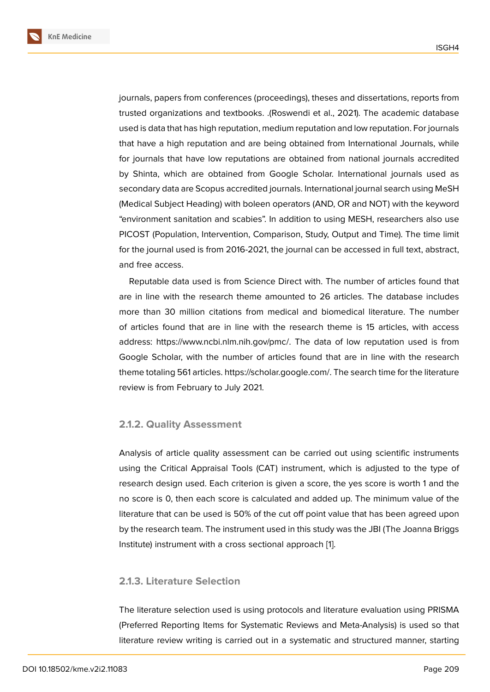journals, papers from conferences (proceedings), theses and dissertations, reports from trusted organizations and textbooks. .(Roswendi et al., 2021). The academic database used is data that has high reputation, medium reputation and low reputation. For journals that have a high reputation and are being obtained from International Journals, while for journals that have low reputations are obtained from national journals accredited by Shinta, which are obtained from Google Scholar. International journals used as secondary data are Scopus accredited journals. International journal search using MeSH (Medical Subject Heading) with boleen operators (AND, OR and NOT) with the keyword "environment sanitation and scabies". In addition to using MESH, researchers also use PICOST (Population, Intervention, Comparison, Study, Output and Time). The time limit for the journal used is from 2016-2021, the journal can be accessed in full text, abstract, and free access.

Reputable data used is from Science Direct with. The number of articles found that are in line with the research theme amounted to 26 articles. The database includes more than 30 million citations from medical and biomedical literature. The number of articles found that are in line with the research theme is 15 articles, with access address: https://www.ncbi.nlm.nih.gov/pmc/. The data of low reputation used is from Google Scholar, with the number of articles found that are in line with the research theme totaling 561 articles. https://scholar.google.com/. The search time for the literature review is from February to July 2021.

#### **2.1.2. Quality Assessment**

Analysis of article quality assessment can be carried out using scientific instruments using the Critical Appraisal Tools (CAT) instrument, which is adjusted to the type of research design used. Each criterion is given a score, the yes score is worth 1 and the no score is 0, then each score is calculated and added up. The minimum value of the literature that can be used is 50% of the cut off point value that has been agreed upon by the research team. The instrument used in this study was the JBI (The Joanna Briggs Institute) instrument with a cross sectional approach [1].

#### **2.1.3. Literature Selection**

The literature selection used is using protocols and literature evaluation using PRISMA (Preferred Reporting Items for Systematic Reviews and Meta-Analysis) is used so that literature review writing is carried out in a systematic and structured manner, starting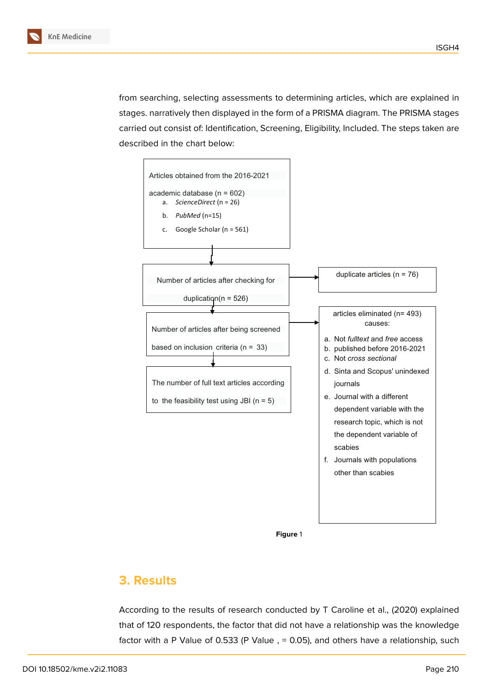from searching, selecting assessments to determining articles, which are explained in stages. narratively then displayed in the form of a PRISMA diagram. The PRISMA stages carried out consist of: Identification, Screening, Eligibility, Included. The steps taken are described in the chart below:



**Figure** 1

# **3. Results**

According to the results of research conducted by T Caroline et al., (2020) explained that of 120 respondents, the factor that did not have a relationship was the knowledge factor with a P Value of 0.533 (P Value , = 0.05), and others have a relationship, such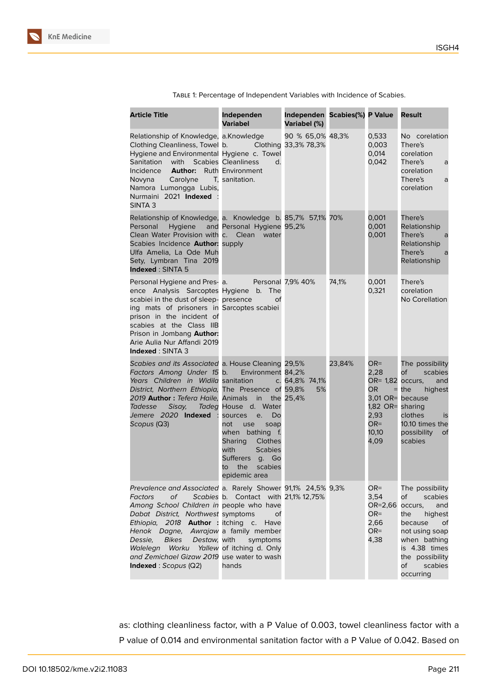| <b>Article Title</b>                                                                                                                                                                                                                                                                                                                                                                                | Independen<br><b>Variabel</b>                                                                                                                                                                                                                                | Independen Scabies(%) P Value<br><b>Variabel (%)</b> |        |                                                                                                                  | Result                                                                                                                                                                                    |
|-----------------------------------------------------------------------------------------------------------------------------------------------------------------------------------------------------------------------------------------------------------------------------------------------------------------------------------------------------------------------------------------------------|--------------------------------------------------------------------------------------------------------------------------------------------------------------------------------------------------------------------------------------------------------------|------------------------------------------------------|--------|------------------------------------------------------------------------------------------------------------------|-------------------------------------------------------------------------------------------------------------------------------------------------------------------------------------------|
| Relationship of Knowledge, a.Knowledge<br>Clothing Cleanliness, Towel b.<br>Hygiene and Environmental Hygiene c. Towel<br>Sanitation<br>with<br>Incidence<br>Author:<br>Novyna<br>Carolyne T, sanitation.<br>Namora Lumongga Lubis,<br>Nurmaini 2021 Indexed<br>SINTA <sub>3</sub>                                                                                                                  | Clothing 33,3% 78,3%<br><b>Scabies Cleanliness</b><br>d.<br><b>Ruth Environment</b>                                                                                                                                                                          | 90 % 65,0% 48,3%                                     |        | 0,533<br>0,003<br>0,014<br>0,042                                                                                 | No corelation<br>There's<br>corelation<br>There's<br>a<br>corelation<br>There's<br>a<br>corelation                                                                                        |
| Relationship of Knowledge, a. Knowledge b. 85,7% 57,1% 70%<br>Hygiene<br>Personal<br>Clean Water Provision with c. Clean<br>Scabies Incidence <b>Author:</b> supply<br>Ulfa Amelia, La Ode Muh<br>Sety, Lymbran Tina 2019<br>Indexed: SINTA 5                                                                                                                                                       | and Personal Hygiene 95,2%<br>water                                                                                                                                                                                                                          |                                                      |        | 0,001<br>0,001<br>0,001                                                                                          | There's<br>Relationship<br>There's<br>a<br>Relationship<br>There's<br>a<br>Relationship                                                                                                   |
| Personal Hygiene and Pres- a.<br>ence Analysis Sarcoptes Hygiene b.<br>scabiei in the dust of sleep- presence<br>ing mats of prisoners in Sarcoptes scabiei<br>prison in the incident of<br>scabies at the Class IIB<br>Prison in Jombang Author:<br>Arie Aulia Nur Affandi 2019<br><b>Indexed: SINTA 3</b>                                                                                         | <b>Personal 7,9% 40%</b><br><b>The</b><br>οf                                                                                                                                                                                                                 |                                                      | 74,1%  | 0,001<br>0,321                                                                                                   | There's<br>corelation<br>No Corellation                                                                                                                                                   |
| Scabies and its Associated a. House Cleaning 29,5%<br>Factors Among Under 15 b.<br>Years Children in Widila sanitation<br>District, Northern Ethiopia, The Presence of 59,8%<br>2019 Author: Tefera Haile, Animals<br>Tadesse<br>Sisay,<br>Jemere 2020 Indexed :<br>Scopus (Q3)                                                                                                                     | Environment 84,2%<br>in the 25,4%<br>Tadeg House d. Water<br>Do<br>sources<br>e.<br>not<br>use<br>soap<br>when<br>bathing<br>$-f_{\cdot}$<br><b>Sharing</b><br>Clothes<br>with<br><b>Scabies</b><br>Sufferers q. Go<br>scabies<br>the<br>to<br>epidemic area | c. 64,8% 74,1%<br>5%                                 | 23,84% | OR=<br>2,28<br>OR= 1,82<br>OR.<br>$=$<br>3,01 OR= because<br>1,82 OR= sharing<br>2,93<br>$OR =$<br>10,10<br>4,09 | The possibility<br>of<br>scabies<br>occurs,<br>and<br>the<br>highest<br>clothes<br>is<br>10.10 times the<br>possibility<br>of<br>scabies                                                  |
| Prevalence and Associated a. Rarely Shower 91,1% 24,5% 9,3%<br>Factors<br>оf<br>Among School Children in people who have<br>Dabat District, Northwest symptoms<br>Ethiopia, 2018 <b>Author</b> : itching c.<br>Henok Dagne, Awrajaw a family member<br><b>Bikes</b><br>Dessie,<br>Destaw, with<br>Walelegn<br>Worku<br>and Zemichael Gizaw 2019 use water to wash<br><b>Indexed</b> : $Scopus (Q2)$ | Scabies b. Contact with 21,1% 12,75%<br>Οf<br>Have<br>symptoms<br>Yallew of itching d. Only<br>hands                                                                                                                                                         |                                                      |        | $OR =$<br>3,54<br>OR=2,66<br>$OR =$<br>2,66<br>$OR =$<br>4,38                                                    | The possibility<br>of<br>scabies<br>occurs,<br>and<br>the<br>highest<br>because<br>of<br>not using soap<br>when bathing<br>is 4.38 times<br>the possibility<br>of<br>scabies<br>occurring |

Table 1: Percentage of Independent Variables with Incidence of Scabies.

as: clothing cleanliness factor, with a P Value of 0.003, towel cleanliness factor with a P value of 0.014 and environmental sanitation factor with a P Value of 0.042. Based on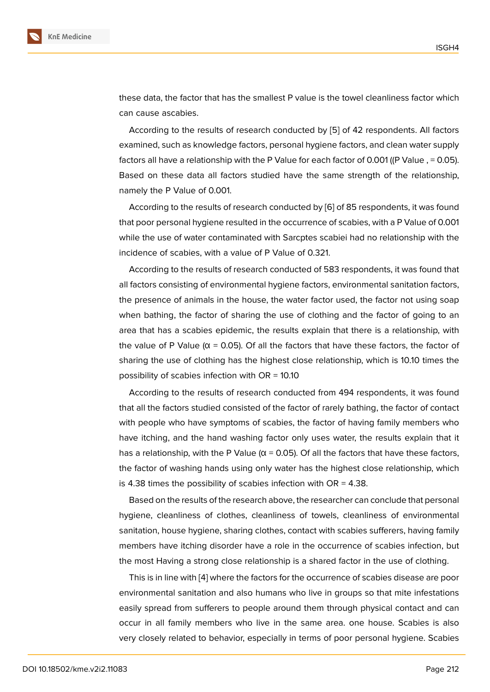these data, the factor that has the smallest P value is the towel cleanliness factor which can cause ascabies.

According to the results of research conducted by [5] of 42 respondents. All factors examined, such as knowledge factors, personal hygiene factors, and clean water supply factors all have a relationship with the P Value for each factor of 0.001 ((P Value, = 0.05). Based on these data all factors studied have the sa[m](#page-8-1)e strength of the relationship, namely the P Value of 0.001.

According to the results of research conducted by [6] of 85 respondents, it was found that poor personal hygiene resulted in the occurrence of scabies, with a P Value of 0.001 while the use of water contaminated with Sarcptes scabiei had no relationship with the incidence of scabies, with a value of P Value of 0.32[1.](#page-8-2)

According to the results of research conducted of 583 respondents, it was found that all factors consisting of environmental hygiene factors, environmental sanitation factors, the presence of animals in the house, the water factor used, the factor not using soap when bathing, the factor of sharing the use of clothing and the factor of going to an area that has a scabies epidemic, the results explain that there is a relationship, with the value of P Value ( $\alpha$  = 0.05). Of all the factors that have these factors, the factor of sharing the use of clothing has the highest close relationship, which is 10.10 times the possibility of scabies infection with OR = 10.10

According to the results of research conducted from 494 respondents, it was found that all the factors studied consisted of the factor of rarely bathing, the factor of contact with people who have symptoms of scabies, the factor of having family members who have itching, and the hand washing factor only uses water, the results explain that it has a relationship, with the P Value ( $\alpha$  = 0.05). Of all the factors that have these factors, the factor of washing hands using only water has the highest close relationship, which is 4.38 times the possibility of scabies infection with  $OR = 4.38$ .

Based on the results of the research above, the researcher can conclude that personal hygiene, cleanliness of clothes, cleanliness of towels, cleanliness of environmental sanitation, house hygiene, sharing clothes, contact with scabies sufferers, having family members have itching disorder have a role in the occurrence of scabies infection, but the most Having a strong close relationship is a shared factor in the use of clothing.

This is in line with [4] where the factors for the occurrence of scabies disease are poor environmental sanitation and also humans who live in groups so that mite infestations easily spread from sufferers to people around them through physical contact and can occur in all family [me](#page-8-0)mbers who live in the same area. one house. Scabies is also very closely related to behavior, especially in terms of poor personal hygiene. Scabies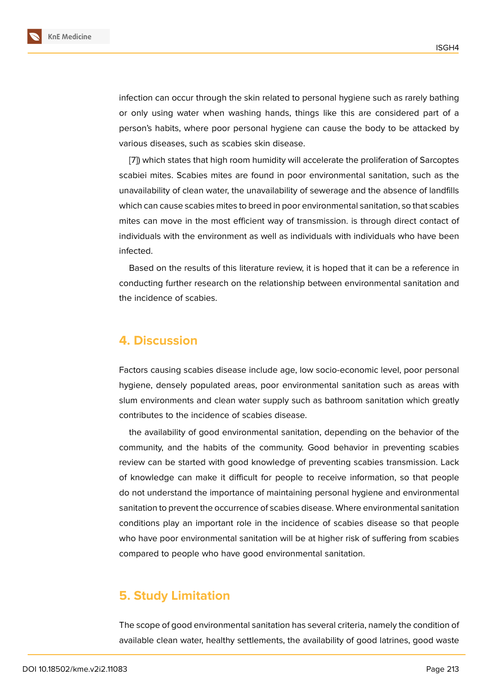infection can occur through the skin related to personal hygiene such as rarely bathing or only using water when washing hands, things like this are considered part of a person's habits, where poor personal hygiene can cause the body to be attacked by various diseases, such as scabies skin disease.

[7]) which states that high room humidity will accelerate the proliferation of Sarcoptes scabiei mites. Scabies mites are found in poor environmental sanitation, such as the unavailability of clean water, the unavailability of sewerage and the absence of landfills wh[ic](#page-8-3)h can cause scabies mites to breed in poor environmental sanitation, so that scabies mites can move in the most efficient way of transmission. is through direct contact of individuals with the environment as well as individuals with individuals who have been infected.

Based on the results of this literature review, it is hoped that it can be a reference in conducting further research on the relationship between environmental sanitation and the incidence of scabies.

### **4. Discussion**

Factors causing scabies disease include age, low socio-economic level, poor personal hygiene, densely populated areas, poor environmental sanitation such as areas with slum environments and clean water supply such as bathroom sanitation which greatly contributes to the incidence of scabies disease.

the availability of good environmental sanitation, depending on the behavior of the community, and the habits of the community. Good behavior in preventing scabies review can be started with good knowledge of preventing scabies transmission. Lack of knowledge can make it difficult for people to receive information, so that people do not understand the importance of maintaining personal hygiene and environmental sanitation to prevent the occurrence of scabies disease. Where environmental sanitation conditions play an important role in the incidence of scabies disease so that people who have poor environmental sanitation will be at higher risk of suffering from scabies compared to people who have good environmental sanitation.

# **5. Study Limitation**

The scope of good environmental sanitation has several criteria, namely the condition of available clean water, healthy settlements, the availability of good latrines, good waste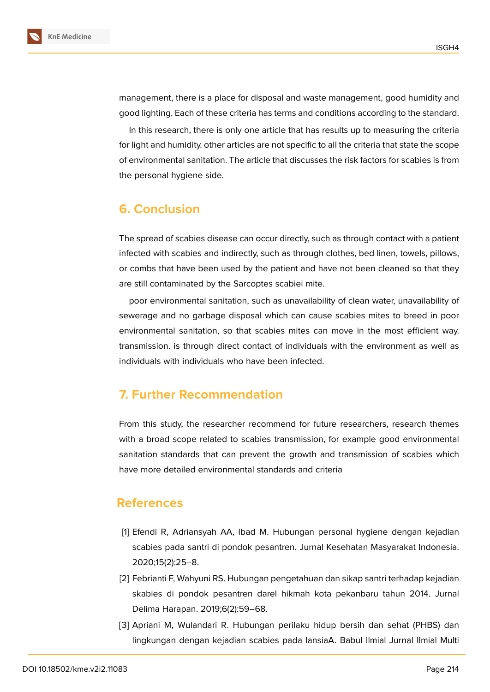management, there is a place for disposal and waste management, good humidity and good lighting. Each of these criteria has terms and conditions according to the standard.

In this research, there is only one article that has results up to measuring the criteria for light and humidity. other articles are not specific to all the criteria that state the scope of environmental sanitation. The article that discusses the risk factors for scabies is from the personal hygiene side.

# **6. Conclusion**

The spread of scabies disease can occur directly, such as through contact with a patient infected with scabies and indirectly, such as through clothes, bed linen, towels, pillows, or combs that have been used by the patient and have not been cleaned so that they are still contaminated by the Sarcoptes scabiei mite.

poor environmental sanitation, such as unavailability of clean water, unavailability of sewerage and no garbage disposal which can cause scabies mites to breed in poor environmental sanitation, so that scabies mites can move in the most efficient way. transmission. is through direct contact of individuals with the environment as well as individuals with individuals who have been infected.

# **7. Further Recommendation**

From this study, the researcher recommend for future researchers, research themes with a broad scope related to scabies transmission, for example good environmental sanitation standards that can prevent the growth and transmission of scabies which have more detailed environmental standards and criteria

## **References**

- <span id="page-7-0"></span>[1] Efendi R, Adriansyah AA, Ibad M. Hubungan personal hygiene dengan kejadian scabies pada santri di pondok pesantren. Jurnal Kesehatan Masyarakat Indonesia. 2020;15(2):25–8.
- <span id="page-7-1"></span>[2] Febrianti F, Wahyuni RS. Hubungan pengetahuan dan sikap santri terhadap kejadian skabies di pondok pesantren darel hikmah kota pekanbaru tahun 2014. Jurnal Delima Harapan. 2019;6(2):59–68.
- <span id="page-7-2"></span>[3] Apriani M, Wulandari R. Hubungan perilaku hidup bersih dan sehat (PHBS) dan lingkungan dengan kejadian scabies pada lansiaA. Babul Ilmial Jurnal Ilmial Multi